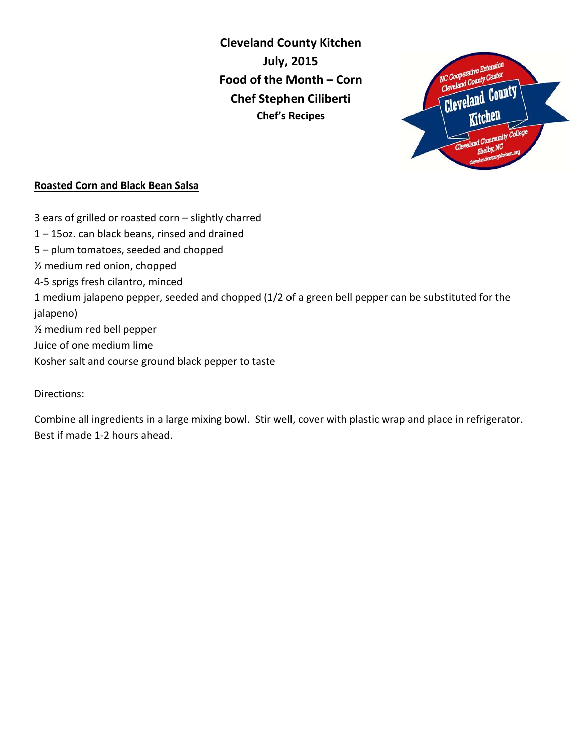**Cleveland County Kitchen July, 2015 Food of the Month – Corn Chef Stephen Ciliberti Chef's Recipes**



#### **Roasted Corn and Black Bean Salsa**

3 ears of grilled or roasted corn – slightly charred 1 – 15oz. can black beans, rinsed and drained 5 – plum tomatoes, seeded and chopped ½ medium red onion, chopped 4-5 sprigs fresh cilantro, minced 1 medium jalapeno pepper, seeded and chopped (1/2 of a green bell pepper can be substituted for the jalapeno) ½ medium red bell pepper Juice of one medium lime Kosher salt and course ground black pepper to taste

Directions:

Combine all ingredients in a large mixing bowl. Stir well, cover with plastic wrap and place in refrigerator. Best if made 1-2 hours ahead.